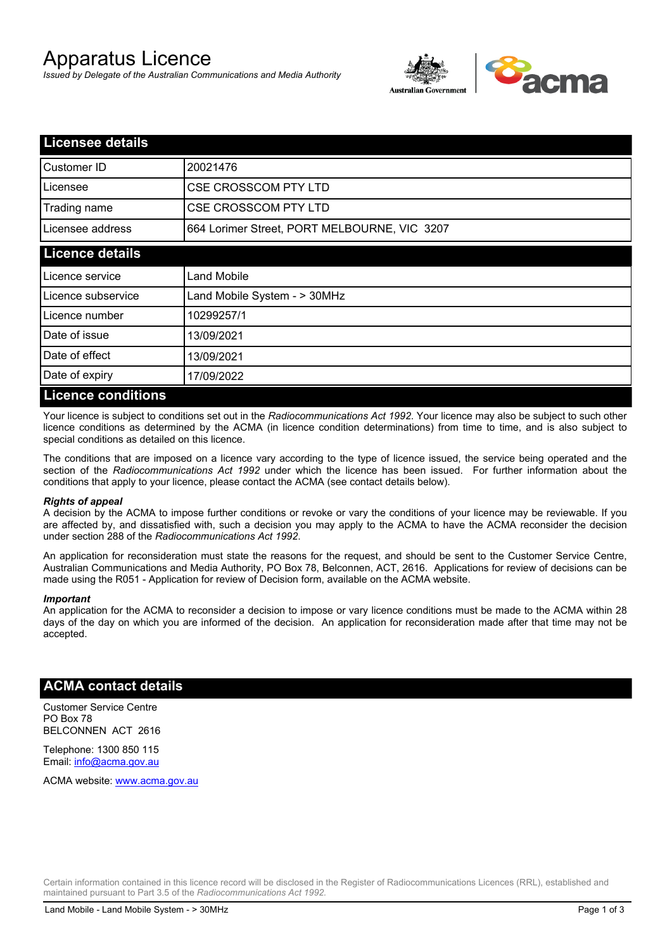# Apparatus Licence

*Issued by Delegate of the Australian Communications and Media Authority*



| <b>Licensee details</b>   |                                              |  |
|---------------------------|----------------------------------------------|--|
| Customer ID               | 20021476                                     |  |
| Licensee                  | <b>CSE CROSSCOM PTY LTD</b>                  |  |
| Trading name              | <b>CSE CROSSCOM PTY LTD</b>                  |  |
| Licensee address          | 664 Lorimer Street, PORT MELBOURNE, VIC 3207 |  |
| <b>Licence details</b>    |                                              |  |
| Licence service           | Land Mobile                                  |  |
| Licence subservice        | Land Mobile System - > 30MHz                 |  |
| Licence number            | 10299257/1                                   |  |
| Date of issue             | 13/09/2021                                   |  |
| Date of effect            | 13/09/2021                                   |  |
| Date of expiry            | 17/09/2022                                   |  |
| <b>Licence conditions</b> |                                              |  |

Your licence is subject to conditions set out in the *Radiocommunications Act 1992*. Your licence may also be subject to such other licence conditions as determined by the ACMA (in licence condition determinations) from time to time, and is also subject to special conditions as detailed on this licence.

The conditions that are imposed on a licence vary according to the type of licence issued, the service being operated and the section of the *Radiocommunications Act 1992* under which the licence has been issued. For further information about the conditions that apply to your licence, please contact the ACMA (see contact details below).

### *Rights of appeal*

A decision by the ACMA to impose further conditions or revoke or vary the conditions of your licence may be reviewable. If you are affected by, and dissatisfied with, such a decision you may apply to the ACMA to have the ACMA reconsider the decision under section 288 of the *Radiocommunications Act 1992*.

An application for reconsideration must state the reasons for the request, and should be sent to the Customer Service Centre, Australian Communications and Media Authority, PO Box 78, Belconnen, ACT, 2616. Applications for review of decisions can be made using the R051 - Application for review of Decision form, available on the ACMA website.

### *Important*

An application for the ACMA to reconsider a decision to impose or vary licence conditions must be made to the ACMA within 28 days of the day on which you are informed of the decision. An application for reconsideration made after that time may not be accepted.

## **ACMA contact details**

Customer Service Centre PO Box 78 BELCONNEN ACT 2616

Telephone: 1300 850 115 Email: info@acma.gov.au

ACMA website: www.acma.gov.au

Certain information contained in this licence record will be disclosed in the Register of Radiocommunications Licences (RRL), established and maintained pursuant to Part 3.5 of the *Radiocommunications Act 1992.*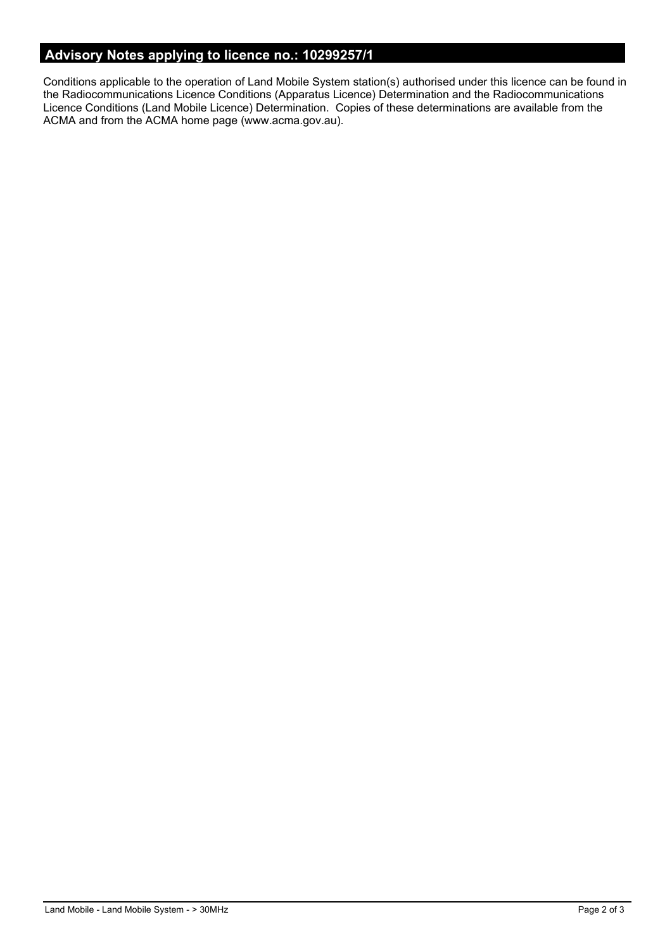# **Advisory Notes applying to licence no.: 10299257/1**

Conditions applicable to the operation of Land Mobile System station(s) authorised under this licence can be found in the Radiocommunications Licence Conditions (Apparatus Licence) Determination and the Radiocommunications Licence Conditions (Land Mobile Licence) Determination. Copies of these determinations are available from the ACMA and from the ACMA home page (www.acma.gov.au).